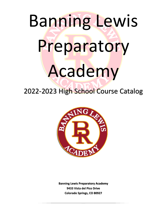# Banning Lewis Preparatory Academy

2022-2023 High School Course Catalog



**Banning Lewis Preparatory Academy 9433 Vista del Pico Drive Colorado Springs, CO 80927**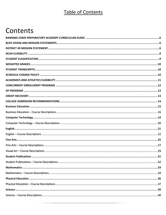# **Table of Contents**

# Contents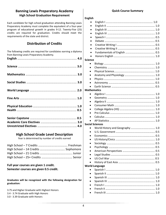#### **Banning Lewis Preparatory Academy High School Graduation Requirement**

Each candidate for high school graduation attending Banning Lewis Preparatory Academy must complete the equivalent of a four-year program of educational growth in grades 9-12. Twenty-Five (25) credits are required for graduation. Credits should meet the requirements of the state and district.

#### **Distribution of Credits**

| The following credits are required for candidates earning a diploma<br>from Banning Lewis Preparatory Academy. |  |
|----------------------------------------------------------------------------------------------------------------|--|
|                                                                                                                |  |
|                                                                                                                |  |
|                                                                                                                |  |
|                                                                                                                |  |
|                                                                                                                |  |
|                                                                                                                |  |
|                                                                                                                |  |
|                                                                                                                |  |
|                                                                                                                |  |
|                                                                                                                |  |
|                                                                                                                |  |

#### **High School Grade Level Description**

Year is determined by number of credits earned

#### **Full year courses are given 1 credit. Semester courses are given 0.5 credit.**

**Graduates will be recognized with the following designation for graduation:**

3.75 and Higher Graduate with Highest Honors

- 3.4 3.74 Graduate with High Honors
- 3.0 3.39 Graduate with Honors

#### **Quick Course Summary**

#### **English**

| $\bullet$          |                        |  |
|--------------------|------------------------|--|
|                    |                        |  |
|                    |                        |  |
| <b>Science</b>     |                        |  |
|                    |                        |  |
|                    |                        |  |
|                    |                        |  |
|                    |                        |  |
|                    |                        |  |
|                    |                        |  |
|                    |                        |  |
| <b>Mathematics</b> |                        |  |
|                    |                        |  |
|                    |                        |  |
|                    |                        |  |
|                    |                        |  |
|                    |                        |  |
|                    |                        |  |
|                    |                        |  |
|                    |                        |  |
|                    |                        |  |
|                    | <b>Social Sciences</b> |  |
|                    |                        |  |
|                    |                        |  |
|                    |                        |  |
|                    |                        |  |
|                    |                        |  |
|                    |                        |  |
|                    |                        |  |
|                    |                        |  |
|                    |                        |  |
|                    |                        |  |
|                    | <b>World Language</b>  |  |
|                    |                        |  |
|                    |                        |  |
|                    |                        |  |
|                    |                        |  |
|                    |                        |  |
|                    |                        |  |
|                    |                        |  |
|                    |                        |  |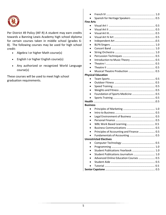

Per District 49 Policy (IKF-R) A student may earn credits towards a Banning Lewis Academy high school diploma for certain courses taken in middle school (grades 6- 8). The following courses may be used for high school credit:

- Algebra I or higher Math course(s)
- English I or higher English course(s)
- Any authorized or recognized World Language course(s)

These courses will be used to meet high school graduation requirements.

| <b>Fine Arts</b> |                                           |  |
|------------------|-------------------------------------------|--|
|                  |                                           |  |
|                  |                                           |  |
|                  |                                           |  |
|                  |                                           |  |
| $\bullet$        |                                           |  |
|                  |                                           |  |
|                  |                                           |  |
|                  |                                           |  |
|                  |                                           |  |
|                  |                                           |  |
|                  |                                           |  |
|                  |                                           |  |
|                  |                                           |  |
|                  | <b>Physical Education</b>                 |  |
| $\bullet$        |                                           |  |
|                  |                                           |  |
|                  |                                           |  |
|                  |                                           |  |
|                  | Foundation of Sports Medicine  0.5        |  |
|                  |                                           |  |
|                  |                                           |  |
| <b>Business</b>  |                                           |  |
|                  |                                           |  |
|                  |                                           |  |
|                  |                                           |  |
|                  |                                           |  |
|                  |                                           |  |
|                  |                                           |  |
|                  | Principles of Accounting and Finance  0.5 |  |
|                  |                                           |  |
|                  | <b>Unrestricted Electives</b>             |  |
|                  |                                           |  |
|                  |                                           |  |
|                  | Student Publications Yearbook  1.0        |  |
|                  | Student Publications Journalism  1.0      |  |
|                  | Advanced Online Education Courses  0.5    |  |
|                  |                                           |  |
|                  |                                           |  |
|                  |                                           |  |
|                  |                                           |  |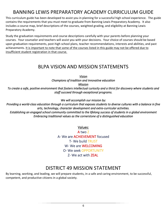# BANNING LEWIS PREPARATORY ACADEMY CURRICULUM GUIDE

<span id="page-5-0"></span>This curriculum guide has been developed to assist you in planning for a successful high school experience. The guide contains the requirements that you must meet to graduate from Banning Lewis Preparatory Academy. It also includes a course map, brief descriptions of the courses, weighted grading, and eligibility at Banning Lewis Preparatory Academy.

Study the graduation requirements and course descriptions carefully with your parents before planning your courses. Your counselor and teachers will assist you with your decisions. Your choice of courses should be based upon graduation requirements, post-high school plans, teacher recommendations, interests and abilities, and past achievements. It is important to note that some of the courses listed in this guide may not be offered due to insufficient student registration in that course.

### BLPA VISION AND MISSION STATEMENTS

*Vision Champions of tradition and innovative education* 

*Mission* 

<span id="page-5-1"></span>*To create a safe, positive environment that fosters intellectual curiosity and a thirst for discovery where students and staff succeed through exceptional programs.* 

*We will accomplish our mission by:*

*Providing a world-class education through a curriculum that exposes students to diverse cultures with a balance in fine arts, technology, character development and extra-curricular activities. Establishing an engaged school community committed to the lifelong success of students in a global environment Embracing traditional values as the cornerstone of a distinguished education*

Values:

A two Z A- We are ACHIEVEMENT focused T- We build TRUST W- We are WELCOMING O- We seek OPPORTUNITY Z- We act with ZEAL

### DISTRICT 49 MISSION STATEMENT

<span id="page-5-2"></span>By learning, working, and leading, we will prepare students, in a safe and caring environment, to be successful, competent, and productive citizens in a global society.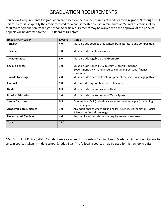# GRADUATION REQUIREMENTS

Coursework requirements for graduation are based on the number of units of credit earned in grades 9 through 12. A unit of .5 credit is typically the credit received for a one-semester course. A minimum of 25 units of credit shall be required for graduation from high school. Specific requirements may be waived with the approval of the principal. Appeals will be directed to the BLPA Board of Directors.

| <b>Requirement Areas</b>       | <b>Credits</b> | <b>Notes</b>                                                                                                                        |  |
|--------------------------------|----------------|-------------------------------------------------------------------------------------------------------------------------------------|--|
| *English                       | 4.0            | Must include courses that contain both literature and composition.                                                                  |  |
| *Science                       | 3.0            | Must include two lab sciences.                                                                                                      |  |
| *Mathematics                   | 3.0            | Must include Algebra 1 and Geometry                                                                                                 |  |
| <b>Social Sciences</b>         | 3.0            | Must include 1 credit U.S. history, .5 credit American<br>Government/Civics, and a course containing personal finance<br>curriculum |  |
| *World Language                | 2.0            | Must include a second level, full year, of the same language pathway.                                                               |  |
| <b>Fine Arts</b>               | 1.0            | May include any combination of fine arts.                                                                                           |  |
| <b>Health</b>                  | 0.5            | Must include one semester of Health.                                                                                                |  |
| <b>Physical Education</b>      | 1.0            | Must include one semester of Team Sports.                                                                                           |  |
| <b>Senior Capstone</b>         | 0.5            | Culminating ICAP (individual career and academic plan) beginning<br>Freshman year.                                                  |  |
| <b>Academic Core Electives</b> | 3.0            | Any additional course work in English, Science, Mathematics, Social<br>Sciences, or World Language.                                 |  |
| <b>Unrestricted Electives</b>  | 4.0            | Any credits earned above the requirements in any area.                                                                              |  |
| <b>Total</b>                   | 25.0           |                                                                                                                                     |  |

\*Per District 49 Policy (IKF-R) A student may earn credits towards a Banning Lewis Academy high school diploma for certain courses taken in middle school (grades 6-8). The following courses may be used for high school credit: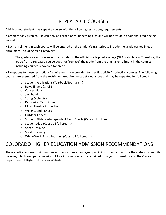# REPEATABLE COURSES

A high school student may repeat a course with the following restrictions/requirements:

• Credit for any given course can only be earned once. Repeating a course will not result in additional credit being earned.

• Each enrollment in each course will be entered on the student's transcript to include the grade earned in each enrollment, including credit recovery.

The grade for each course will be included in the official grade point average (GPA) calculation. Therefore, the grade from a repeated course does not "replace" the grade from the original enrollment in the course; including courses recovered for credit.

• Exceptions to these restrictions/requirements are provided to specific activity/production courses. The following courses are exempted from the restrictions/requirements detailed above and may be repeated for full credit:

- o Student Publications (Yearbook/Journalism)
- o BLPA Singers (Choir)
- o Concert Band
- o Jazz Band
- o String Orchestra
- o Percussion Techniques
- o Music Theatre Production
- o Weights and Fitness
- o Outdoor Fitness
- o Student Athletics/Independent Team Sports (Caps at 1 full credit)
- o Student Aide (Caps at 2 full credits)
- o Speed Training
- o Sports Training
- o WBL Work Based Learning (Caps at 2 full credits)

# COLORADO HIGHER EDUCATION ADMISSION RECOMMENDATIONS

These credits represent minimum recommendations at four-year public institution and not for the state's community colleges, which are open admissions. More information can be obtained from your counselor or on the Colorado Department of Higher Educations Website.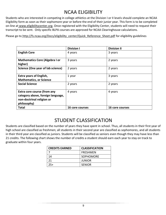# NCAA ELIGIBILITY

<span id="page-8-0"></span>Students who are interested in competing in college athletics at the Division I or II levels should complete an NCAA Eligibility form as soon as their sophomore year or before the end of their junior year. This form is to be completed on-line at [www.eligibilitycenter.org.](http://www.eligibilitycenter.org/) Once registered with the Eligibility Center, students will need to request their transcript to be sent. Only specific BLPA courses are approved for NCAA Clearinghouse calculations.

Please go to [http://fs.ncaa.org/Docs/eligibility\\_center/Quick\\_Reference\\_Sheet.pdf](http://fs.ncaa.org/Docs/eligibility_center/Quick_Reference_Sheet.pdf) for eligibility guidelines

|                                                                                                              | <b>Division I</b> | <b>Division II</b> |
|--------------------------------------------------------------------------------------------------------------|-------------------|--------------------|
| <b>English Core</b>                                                                                          | 4 years           | 3 years            |
| <b>Mathematics Core (Algebra I or</b><br>higher)                                                             | 3 years           | 2 years            |
| Science (One year of lab science)                                                                            | 2 years           | 2 years            |
| <b>Extra years of English,</b><br><b>Mathematics, or Science</b>                                             | 1 year            | 3 years            |
| <b>Social Science</b>                                                                                        | 2 years           | 2 years            |
| Extra core course (from any<br>category above, foreign language,<br>non-doctrinal religion or<br>philosophy) | 4 years           | 4 years            |
| <b>Total</b>                                                                                                 | 16 core courses   | 16 core courses    |

### STUDENT CLASSIFICATION

<span id="page-8-1"></span>Students are classified based on the number of years they have spent in school. Thus, all students in their first year of high school are classified as freshmen; all students in their second year are classified as sophomores, and all students in their third year are classified as juniors. Students will be classified as seniors even though they may have less than 21 credits. The following chart shows the number of credits a student should earn each year to stay on track to graduate within four years.

| <b>CREDITS EARNED</b> | <b>CLASSIFICATION</b> |
|-----------------------|-----------------------|
|                       | <b>FRESHMEN</b>       |
| 14                    | SOPHOMORE             |
| 21                    | <b>JUNIOR</b>         |
| 25+                   | <b>SENIOR</b>         |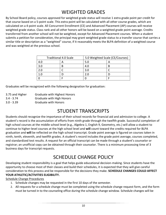# WEIGHTED GRADES

<span id="page-9-0"></span>By School Board policy, courses approved for weighted grade status will receive 1 extra grade point per credit for that course based on a 5-point scale. This extra point will be calculated with all other course grades, which are calculated on a 4-point scale. All Concurrent Enrollment (CE) and Advanced Placement (AP) courses will receive weighted grade status. Class rank and all other honors will be based on a weighted grade point average. Credits transferred from another school will not be weighted, except for Advanced Placement courses. When a student submits a petition for consideration, the principal may grant weighted grade status to a transfer course that carries a similar title or description as a "weighted" course, if it reasonably meets the BLPA definition of a weighted course and was weighted at the previous school.

| <b>Traditional 4.0 Scale</b> |  | 5.0 Weighted Scale (CE/Courses) |   |
|------------------------------|--|---------------------------------|---|
| 4.0                          |  | 5.0                             |   |
| 3.0                          |  | 4.0                             | R |
|                              |  | 3.0                             |   |
|                              |  | 2.0                             |   |
|                              |  |                                 |   |

Graduates will be recognized with the following designation for graduation:

| 3.75 and Higher | <b>Graduate with Highest Honors</b> |
|-----------------|-------------------------------------|
| $3.4 - 3.74$    | Graduate with High Honors           |
| $3.0 - 3.39$    | <b>Graduate with Honors</b>         |

# STUDENT TRANSCRIPTS

<span id="page-9-1"></span>Students should recognize the importance of their school records for financial aid and admission to college. A student's record is the accumulation of efforts from ninth grade through the twelfth grade. Successful completion of high school courses at the middle school level (e.g., Algebra 1, English 9, Geometry, etc.) will allow a student to continue to higher-level courses at the high school level and **will** count toward the credits required for BLPA graduation and **will** be reflected on the high school transcript. Grade point average is figured on courses taken in ninth, tenth, eleventh, and twelfth grades. A student's record includes the grade point average, courses completed, and standardized test results. A request for an official transcript can be made through a student's counselor or registrar; an unofficial copy can be obtained through their counselor. There is a minimum processing time of 3 business days for transcript requests.

# SCHEDULE CHANGE POLICY

<span id="page-9-2"></span>Developing student responsibility is a goal that helps guide educational decision-making. Since students have the opportunity to choose most of their classes and build their schedules, it is expected that they will give careful consideration to this process and be responsible for the decisions they make. **SCHEDULE CHANGES COULD AFFECT YOUR ATHLETIC/ACTIVITIES ELIGIBILITY.** 

Schedule Change Procedures

- 1. Schedule changes may be requested in the first 10 days of the semester.
- 2. All requests for a schedule change must be completed using the schedule change request form, and the form must be turned in to the counseling office during the schedule change window. Schedule changes will be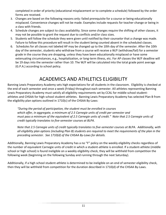completed in order of priority (educational misplacement or to complete a schedule) followed by the order forms are received.

- 3. Changes are based on the following reasons only: failed prerequisite for a course or being educationally misplaced. Convenience changes will not be made. Examples include requests for teacher change or being in a class with friends.
- 4. Schedule changes are subject to class availability. Since some changes require the shifting of other classes, it may not be possible to grant the request due to conflicts and/or class sizes.
- 5. Students will follow the schedule they were given until notified by their counselor that a change was made. Failure to follow this procedure will result in the student being counted absent in the scheduled classes.
- 6. Schedules for all classes not labeled AP may be changed up to the 10th day of the semester. After the 10th day of the semester, students who withdraw from a course will receive a W/F (withdraw/fail) for a semester grade in the course they are dropping, unless they have been educationally misplaced or have some extenuating circumstances, e.g., hospitalization, or long-term illness, etc. For AP classes the W/F deadline will be 19 days into the semester rather than 10. The W/F will be calculated into the total grade point average (G.P.A.) according to school policy.

# ACADEMICS AND ATHLETICS ELIGIBILITY

<span id="page-10-0"></span>Banning Lewis Preparatory Academy sets high expectations for all students in the classroom. Eligibility is checked at the end of each semester and once a week (Friday) throughout each semester. All athletes representing Banning Lewis Preparatory Academy must satisfy all eligibility requirements set by CCAL for middle school studentathletes and CHSAA for high school student-athletes. Banning Lewis Preparatory Academy has selected Plan B from the eligibility plan options outlined in 1710(c) of the CHSAA By-Laws:

*"During the period of participation, the student must be enrolled in courses which offer, in aggregate, a minimum of 2.5 Carnegie units of credit per semester and must pass a minimum of the equivalent of 2.5 Carnegie units of credit." Note that 2.5 Carnegie units of credit typically translates to five-semester courses at BLPA.*

*Note that 2.5 Carnegie units of credit typically translates to five-semester courses at BLPA. Additionally, with all eligibility plan options (including Plan B) students are required to meet the requirements of the plan in the preceding semester. See 1710(d) of the CHSAA By-Laws for details.*

Additionally, Banning Lewis Preparatory Academy has a no "F" policy on the weekly eligibility checks regardless of the number of equivalent Carnegie units of credit in which a student-athlete is enrolled. If a student-athlete (middle school or high school) is found ineligible on a weekly eligibility check, they will be withheld from competition the following week (beginning on the following Sunday and running through the next Saturday).

Additionally, if a high school student-athlete is determined to be ineligible on an end of semester eligibility check, then they will be withheld from competition for the duration described in 1710(d) of the CHSAA By-Laws.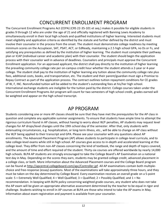# CONCURRENT ENROLLMENT PROGRAM

<span id="page-11-0"></span>The Concurrent Enrollment Programs Act (CEPA) (CRS 22-35-101 et seq.) makes it possible for eligible students in grades 9 through 12 who are under the age of 21 and officially registered with Banning Lewis Academy to simultaneously enroll in their local high schools and qualified institutions of higher learning. Interested students must meet eligibility and application criteria as identified by the statute and further defined by the district and must involve their counselor in the process from the onset. The student must demonstrate college readiness by meeting minimum scores on the Accuplacer, SAT, PSAT, ACT, or EdReady, maintaining a 2.5 high school GPA, no Ds or Fs, and satisfying any prerequisites as defined by the institution of higher learning. The student must complete their pathway plan or ICAP (individual career and academic plan) with their counselor. The student should begin the application process with their counselor well in advance of deadlines. Counselors and principals must approve the Concurrent Enrollment application. For an approved applicant, the district shall pay directly to the institution of higher learning the prevailing community college rate per on-campus credit hour whether the student attends a 2-year or 4-year college. The student shall pay to the institution of higher learning any tuition above the community college rate plus fees, additional costs, books, and transportation, etc. The student and their parent/guardian must sign a Promise to Repay Contract as part of the application process. The contract outlines tuition repayment conditions for CE grades of W, F, INC. Nonrefunded tuition will be added to the student's outstanding fees at his/her high school. International exchange students are ineligible for the tuition paid by the district. College courses taken under the Concurrent Enrollment Programs Act program will count for two semesters of high school credit, grades earned will be weighted and appear on the high school transcript.

### AP PROGRAM

<span id="page-11-1"></span>Students considering one or more AP classes should be sure that they have met the prerequisites for the AP class in question and complete any applicable summer assignments. To ensure that students have ample time to attempt the rigorous curriculum found in AP classes, without having to worry about W/F penalties, AP students may request level changes for AP drops/level changes until the 19th school day of the semester. After that, only students with extenuating circumstances, e.g. hospitalization, or long-term illness, etc., will be able to change an AP class without the W/F being applied to their transcript and GPA. Please see your counselor with any questions about AP enrollments. The Advanced Placement Program (AP) allows students to participate in college-level curricula, and to take college-level exams while still in high school. AP courses give access to in-depth and accelerated learning at the college level. They differ from non-AP classes concerning the kind of textbook, the range and depth of topics covered, and the amount of time and effort required of the student. Thirty-six courses are offered worldwide by nearly 14,000 high schools. BLPA AP students are strongly encouraged to take the College Board's AP Examination on a national test day in May. Depending on the scores they earn, students may be granted college credit, advanced placement in a college class, or both. More information about the Advanced Placement courses and the College Board program can be found at [http://apcentral.collegeboard.com/apc/Controller.jpf.](http://apcentral.collegeboard.com/apc/Controller.jpf) All AP examinations contain both multiplechoice and free-response (essay) questions. Most of the examinations will take approximately three hours, and they must be taken on the day determined by College Board. Every examination receives an overall grade on a 5-point scale: 5 = Extremely Well Qualified; 4 = Well Qualified; 3 = Qualified; 2 = Possibly Qualified; and 1 = No recommendation. In keeping with BLPA policy concerning weighted grade courses, any student who does not take the AP exam will be given an appropriate alternative assessment determined by the teacher to be equal in rigor and challenge. Students wishing to enroll in AP courses at BLPA are those who intend to take the AP exams in May. Information about exam registration and payment is available from your counselor.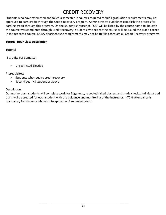# CREDIT RECOVERY

<span id="page-12-0"></span>Students who have attempted and failed a semester in courses required to fulfill graduation requirements may be approved to earn credit through the Credit Recovery program. Administrative guidelines establish the process for earning credit through this program. On the student's transcript, "CR" will be listed by the course name to indicate the course was completed through Credit Recovery. Students who repeat the course will be issued the grade earned in the repeated course. NCAA clearinghouse requirements may not be fulfilled through all Credit Recovery programs.

#### **Tutorial Hour Class Description**

Tutorial

.5 Credits per Semester

• Unrestricted Elective

Prerequisites:

- Students who require credit recovery
- Second year HS student or above

#### Description:

During the class, students will complete work for Edgenuity, repeated failed classes, and grade checks. Individualized plans will be created for each student with the guidance and monitoring of the instructor.  $\geq$ 70% attendance is mandatory for students who wish to apply the .5 semester credit.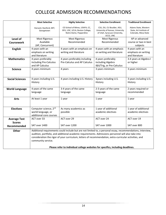# COLLEGE ADMISSION RECOMMENDATIONS

<span id="page-13-0"></span>

|                              | <b>Most Selective</b>                                                                                                                                                                                                                                                                                                                                                                                                                  | <b>Highly Selective</b>                                                                     | <b>Selective Enrollment</b>                                                                                 | <b>Traditional Enrollment</b>                                           |
|------------------------------|----------------------------------------------------------------------------------------------------------------------------------------------------------------------------------------------------------------------------------------------------------------------------------------------------------------------------------------------------------------------------------------------------------------------------------------|---------------------------------------------------------------------------------------------|-------------------------------------------------------------------------------------------------------------|-------------------------------------------------------------------------|
|                              | Harvard, Stanford, MIT,<br>Georgetown                                                                                                                                                                                                                                                                                                                                                                                                  | CO School of Mines, USAFA, CC,<br>BYU, USC, UCLA, Boston College,<br>Notre Dame, Pepperdine | CSU, DU, CU Boulder, ASU,<br>University of Kansas, University<br>of Utah, Syracuse University,<br>UCCS, UNC | Adams State, Western<br>State, Art Institute of<br>Colorado, Mesa State |
| Level of                     | Most Rigorous                                                                                                                                                                                                                                                                                                                                                                                                                          | Most Rigorous                                                                               | Most Rigorous                                                                                               | AP or advanced                                                          |
| <b>Coursework</b>            | Available<br>(AP, Concurrent)                                                                                                                                                                                                                                                                                                                                                                                                          | Recommended                                                                                 | Recommended                                                                                                 | course or two in best<br>subjects                                       |
| <b>English</b>               | 4 years with an<br>emphasis on writing<br>and literature                                                                                                                                                                                                                                                                                                                                                                               | 4 years with an emphasis on<br>writing and literature                                       | 4 years with an emphasis<br>on writing and literature                                                       | 4 years with an<br>emphasis on writing<br>and literature                |
| <b>Mathematics</b>           | 4 years preferably<br>including Pre-Calculus<br>and AP Calculus                                                                                                                                                                                                                                                                                                                                                                        | 4 years preferably including<br>Pre-Calculus and AP Calculus                                | 4 years preferably<br>including Algebra<br>I&II/Trig, or Pre-Calculus                                       | 3-4 years at Algebra I<br>or higher                                     |
| <b>Science</b>               | 4 years minimum                                                                                                                                                                                                                                                                                                                                                                                                                        | 4 years                                                                                     | 3 years minimum                                                                                             | 3 years minimum                                                         |
| <b>Social Sciences</b>       | 4 years including U.S.<br>History                                                                                                                                                                                                                                                                                                                                                                                                      | 4 years including U.S. History                                                              | 3years including U.S.<br>History                                                                            | 3 years including U.S.<br>History                                       |
| <b>World Language</b>        | 4 years of the same<br>language                                                                                                                                                                                                                                                                                                                                                                                                        | 3-4 years of the same<br>language                                                           | 2-3 years of the same<br>language                                                                           | 2 years required or<br>recommended                                      |
| <b>Arts</b>                  | At least 1 year                                                                                                                                                                                                                                                                                                                                                                                                                        | 1 year                                                                                      | 1 year                                                                                                      | 1 year                                                                  |
| <b>Electives</b>             | Computer science, 2nd<br>world language, or<br>additional core courses                                                                                                                                                                                                                                                                                                                                                                 | As many academics as<br>possible                                                            | 1 year of additional<br>academic electives                                                                  | 1 year of additional<br>academic electives                              |
| <b>Average Test</b>          | ACT over 33                                                                                                                                                                                                                                                                                                                                                                                                                            | ACT over 29                                                                                 | ACT over 24                                                                                                 | ACT over 19                                                             |
| <b>Scores</b><br>Recommended | SAT over 1400                                                                                                                                                                                                                                                                                                                                                                                                                          | SAT over 1200                                                                               | SAT over 1000                                                                                               | SAT over 800                                                            |
| <b>Other</b>                 | Additional requirements could include but are not limited to, a personal essay, recommendations, interview,<br>audition, portfolio, and additional academic requirements. Admissions personnel will also take into<br>consideration the rigor of your curriculum, letters of recommendation, extra-curricular activities, and<br>community service.<br>Please refer to individual college websites for specifics, including deadlines. |                                                                                             |                                                                                                             |                                                                         |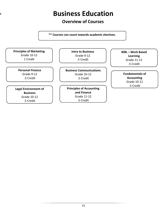# **Business Education**

<span id="page-14-0"></span>D

### **Overview of Courses**

**\*\* Courses can count towards academic electives.**

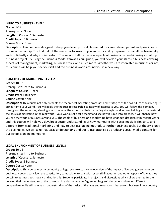<span id="page-15-0"></span>**INTRO TO BUSINESS -LEVEL 1 Grade:** 9-12 **Prerequisite**: None **Length of Course**: 1 Semester **Credit Type:** .5 Business **Course Costs**: None

**Description**: This course is designed to help you develop the skills needed for career development and principles of business ownership. The first half of the semester focuses on you and your ability to present yourself professionally and confidently and why it is important. The second half focuses on aspects of business ownership using a start-up business project. By using the Business Model Canvas as our guide, you will develop your start-up business covering aspects of management, marketing, business ethics, and much more. Whether you are interested in business or not, this course will help you see yourself and the business world around you in a new way.

#### **PRINCIPLES OF MARKETING -LEVEL 2**

**Grade:** 10-12 **Prerequisite**: Intro to Business **Length of Course:** 1 Year **Credit Type:** 1 Business **Course Costs:** None

**Description:** This course not only presents the theoretical marketing processes and strategies of the basic 4 P's of Marketing, it brings it into your world. You will apply the theories to research a company of interest to you. You will follow this company throughout the semester, allowing you to become the expert on their marketing strategies and in turn, helping you understand the basics of marketing in the real world - your world. Let's take theory and see how it is put into practice. It will change how you see the world of business around you. The goals of business and marketing have changed drastically in recent years, and this course will help you develop a better understanding of how marketing with social media is similar to and different from traditional marketing and how to best use online methods to further business goals. But theory is only the beginning. We will take that basic understanding and put it into practice by producing social media content for our school's online marketing.

#### **LEGAL ENVRIONMENT OF BUSINESS -LEVEL 3**

**Grade:** 10-12 **Prerequisite:** Intro to Business **Length of Course**: 1 Semester **Credit Type:** .5 Business **Course Costs**: None

**Description:** This course uses a community college level text to give an overview of the impact of law and government on business. It covers basic law, the constitution, contact law, torts, social responsibility, ethics, and other aspects of law as they pertain to business both locally and nationally. Students participate in projects and discussions which allow them to further develop their understanding of the concepts. In a class where we 'agree to disagree', discussions allow for different perspectives while still gaining an understanding of the basics of the laws and regulations that govern business in our country.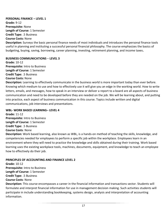#### **PERSONAL FINANCE – LEVEL 1 Grade:** 9-12 **Prerequisite:** None

**Length of Course:** 1 Semester **Credit Type:** .5 Business

#### **Course Costs:** None

**Description:** Surveys the basic personal finance needs of most individuals and introduces the personal finance tools useful in planning and instituting a successful personal financial philosophy. The course emphasizes the basics of budgeting, buying, saving, borrowing, career planning, investing, retirement planning, and income taxes**.**

#### **BUSINESS COMMUNICATIONS** – **LEVEL 3**

**Grade:** 10-12 **Prerequisite:** Intro to Business **Length of Course:** 1 Semester **Credit Type:** .5 Business **Course Costs:** None

**Description:** Learning to effectively communicate in the business world is more important today than ever before. Knowing which medium to use and how to effectively use it will give you an edge in the working world. How to write letters, emails, and messages, how to speak in an interview or deliver a report to a board are all aspects of business communication and need to be developed before they are needed on the job. We will be learning about, and putting into practice, each aspect of business communication in this course. Topics include written and digital communications, job interviews and presentations.

#### **WBL- WORK BASED LEARNING– LEVEL 4**

**Grade:** 11-12 **Prerequisite:** Intro to Business **Length of Course:** 1 Semester **Credit Type:** .5 Business **Course Costs**: None

**Description:** Work based learning, also known as WBL, is a hands-on method of teaching the skills, knowledge, and competencies needed for employees to perform a specific job within the workplace. Employees learn in an environment where they will need to practice the knowledge and skills obtained during their training. Work based learning uses the existing workplace tools, machines, documents, equipment, and knowledge to teach an employee how to effectively do their job.

#### **PRINCIPLES OF ACCOUNTING AND FINANCE LEVEL 2**

**Grade:** 10-12 **Prerequisite:** Intro to Business **Length of Course:** 1 Semester **Credit Type:** .5 Business **Course Costs**: None

**Description:** This course encompasses a career in the financial information and transactions sector. Students will formulate and interpret financial information for use in management decision making. Such activities students will participate in include understanding bookkeeping, systems design, analysis and interpretation of accounting information.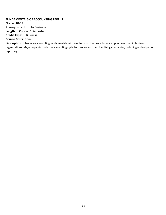#### **FUNDAMENTALS OF ACCOUNTING LEVEL 2**

**Grade:** 10-12 **Prerequisite:** Intro to Business **Length of Course:** 1 Semester **Credit Type:** .5 Business

#### **Course Costs**: None

**Description:** Introduces accounting fundamentals with emphasis on the procedures and practices used in business organizations. Major topics include the accounting cycle for service and merchandising companies, including end-of-period reporting.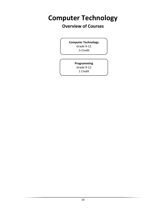# <span id="page-18-0"></span>**Computer Technology**

### **Overview of Courses**

**Computer Technology**  Grade 9-12 .5 Credit

> **Programming** Grade 9-12

1 Credit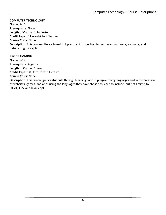#### <span id="page-19-0"></span>**COMPUTER TECHNOLOGY**

**Grade:** 9-12 **Prerequisite:** None **Length of Course:** 1 Semester **Credit Type:** .5 Unrestricted Elective **Course Costs:** None **Description:** This course offers a broad but practical introduction to computer hardware, software, and networking concepts.

#### **PROGRAMMING**

**Grade:** 9-12 **Prerequisite:** Algebra I **Length of Course:** 1 Year **Credit Type:** 1.0 Unrestricted Elective **Course Costs:** None

**Description:** This course guides students through learning various programming languages and in the creation of websites, games, and apps using the languages they have chosen to learn to include, but not limited to HTML, CSS, and JavaScript.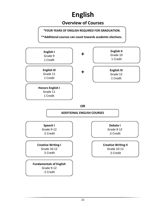# **English**

### **Overview of Courses**

**\*FOUR YEARS OF ENGLISH REQUIRED FOR GRADUATION.**

**\*\*Additional courses can count towards academic electives.**

<span id="page-20-0"></span>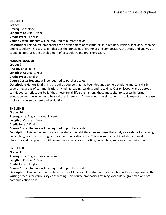<span id="page-21-0"></span>**ENGLISH I Grade:** 9 **Prerequisite:** None **Length of Course:** 1 year **Credit Type:** 1 English

**Course Costs:** Students will be required to purchase texts.

**Description:** This course emphasizes the development of essential skills in reading, writing, speaking, listening, and vocabulary. This course emphasizes the principles of grammar and composition, the study and analysis of topics in literature, the development of vocabulary, and oral expression.

**HONORS ENGLISH I Grade:** 9 **Prerequisite:** None **Length of Course:** 1 Year **Credit Type:** 1 English **Course Costs:** Students will be required to purchase texts. **Description:** Honors English I is a required course that has been designed to help students master skills in

several key areas of communication, including reading, writing, and speaking. Our philosophy and approach to this course reflect our belief that these are all life skills--among those most vital to success in formal education and the wide world beyond the classroom. At the Honors level, students should expect an increase in rigor in course content and evaluation.

#### **ENGLISH II**

**Grade:** 10 **Prerequisite:** English I or equivalent **Length of Course:** 1 Year **Credit Type:** 1 English **Course Costs:** Students will be required to purchase texts.

**Description:** This course emphasizes the study of world literature and uses that study as a vehicle for refining vocabulary, grammar, writing, and oral communication skills. This course is a combined study of world literature and composition with an emphasis on research writing, vocabulary, and oral communication.

#### **ENGLISH III**

**Grade:** 11 **Prerequisite:** English II or equivalent **Length of Course:** 1 Year **Credit Type:** 1 English **Course Costs:** Students will be required to purchase texts. **Description:** This course is a combined study of American literature and composition with an emphasis on the

writing process for various styles of writing. This course emphasizes refining vocabulary, grammar, and oral communication skills.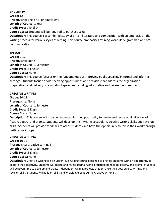#### **ENGLISH IV Grade:** 12 **Prerequisite:** English III or equivalent **Length of Course:** 1 Year **Credit Type:** 1 English **Course Costs:** Students will be required to purchase texts. **Description:** This course is a combined study of British literature and composition with an emphasis on the writing process for various styles of writing. This course emphasizes refining vocabulary, grammar, and oral communication.

**SPEECH I Grade:** 9-12

**Prerequisite:** None **Length of Course:** 1 Semester **Credit Type:** .5 English **Course Costs:** None

**Description:** This course focuses on the fundamentals of improving public speaking in formal and informal settings. Students focus on solo speaking opportunities and activities that address the organization, preparation, and delivery of a variety of speeches including informative and persuasive speeches.

#### **CREATIVE WRITING**

**Grade:** 10-12 **Prerequisite:** None **Length of Course:** 1 Semester **Credit Type:** .5 English **Course Costs:** None

**Description:** This course will provide students with the opportunity to create and revise original works of fiction, poetry, and drama. Students will develop their writing vocabulary, creative writing skills, and revision skills. Students will provide feedback to other students and have the opportunity to revise their work through writing workshops.

#### **CREATIVE WRITING II**

**Grade:** 10-12 **Prerequisite:** Creative Writing I **Length of Course:** 1 Semester **Credit Type:** .5 English **Course Costs:** None

**Description:** Creative Writing II is an upper-level writing course designed to provide students with an opportunity to explore their creativity. Students will create and revise original works of fiction, nonfiction, poetry, and drama. Students will be given time to develop and create independent writing projects that enhance their vocabulary, writing, and revision skills. Students will build on skills and knowledge built during Creative Writing I.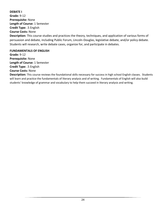#### **DEBATE I**

**Grade:** 9-12 **Prerequisite:** None **Length of Course:** 1 Semester **Credit Type:** .5 English **Course Costs:** None **Description:** This course studies and practices the theory, techniques, and application of various forms of persuasion and debate, including Public Forum, Lincoln-Douglas, legislative debate, and/or policy debate. Students will research, write debate cases, organize for, and participate in debates.

#### **FUNDAMENTALS OF ENGLISH**

**Grade:** 9-12 **Prerequisite:** None **Length of Course:** 1 Semester **Credit Type:** .5 English **Course Costs:** None

**Description:** This course reviews the foundational skills necessary for success in high school English classes. Students will learn and practice the fundamentals of literary analysis and of writing. Fundamentals of English will also build students' knowledge of grammar and vocabulary to help them succeed in literary analysis and writing.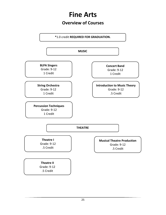# **Fine Arts**

**Overview of Courses**

<span id="page-24-0"></span>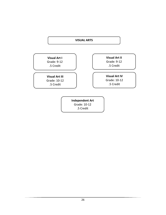#### **VISUAL ARTS**

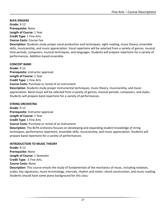<span id="page-26-0"></span>**BLPA SINGERS Grade:** 9-12 **Prerequisite:** None **Length of Course:** 1 Year **Credit Type:** 1 Fine Arts **Course Costs:** Course Fee

**Description:** Students study proper vocal production and techniques, sight-reading, music theory, ensemble skills, musicianship, and music appreciation. Vocal repertoire will be selected from a variety of genres, musical time periods, composers, musical techniques, and languages. Students will prepare repertoire for a variety of performances. Addition based ensemble.

#### **CONCERT BAND**

**Grade:** 9-12 **Prerequisite:** Instructor approval **Length of Course:** 1 Year **Credit Type:** 1 Fine Arts **Course Costs:** Purchase or rental of an instrument **Description:** Students study proper instrumental techniques, music theory, musicianship, and music appreciation. Band music will be selected from a variety of genres, musical periods, composers, and styles. Students will prepare band repertoire for a variety of performances.

#### **STRING ORCHESTRA**

**Grade:** 9-12 **Prerequisite:** Instructor approval **Length of Course:** 1 Year **Credit Type:** 1 Fine Arts **Course Costs:** Purchase or rental of an instrument **Description:** The BLPA orchestra focuses on developing and expanding student knowledge of string techniques, performance repertoire, ensemble skills, musicianship, and music appreciation. Students will prepare band repertoire for a variety of performances.

#### **INTRODUCTION TO MUSIC THEORY**

**Grade:** 9-12 **Prerequisite:** None **Length of Course:** 1 Semester **Credit Type:** .5 Fine Arts **Course Costs:** None **Description:** This course entails the study of fundamentals of the mechanics of music, including notation, scales, key signatures, music terminology, intervals, rhythm and meter, chord construction, and music reading. Students should have some piano background for this class.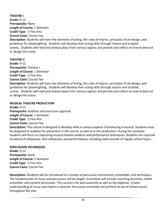#### **THEATRE I**

**Grade:** 9-12 **Prerequisite:** None **Length of Course:** 1 Semester **Credit Type:** .5 Fine Arts **Course Costs:** Course Fee

**Description:** Students will learn the elements of acting, the rules of improv, principles of set design, and guidelines for playwrighting. Students will develop their acting skills through improv and scripted scenes. Students will read and analyze plays from various regions and periods and reflect on how to best act or design the scene.

#### **THEATRE II**

**Grade:** 9-12 **Prerequisite:** Theatre I **Length of Course:** 1 Semester **Credit Type:** .5 Fine Arts **Course Costs:** Course Fee

**Description:** Students will learn the elements of acting, the rules of improv, principles of set design, and guidelines for playwrighting. Students will develop their acting skills through improv and scripted scenes. Students will read and analyze plays from various regions and periods and reflect on how to best act or design the scene.

#### **MUSICAL THEATRE PRODUCTION**

**Grade:** 9-12 **Prerequisite:** Audition and instructor approval **Length of Course:** 1 Semester **Credit Type:** .5 Fine Arts **Course Costs:** Course Fee **Description:** This course is designed to develop skills in various aspects of producing a musical. Students must be prepared to audition for placement in the course, as well as in the production. During the semester students will focus on improving musical theatre audition and performance techniques. Students are required to attend all rehearsals, tech rehearsals, and performances, including some outside of regular school hours.

#### **PERCUSSION TECHNIQUES**

**Grade:** 9-12 **Prerequisite:** None **Length of Course:** 1 Semester **Credit Type:** .5 Fine Arts **Course Costs:** Course Fee

**Description:** Students will be introduced to a variety of percussion instruments, ensembles, and techniques. The fundamentals of music and percussion will be taught. Ensembles will include marching drumline, mallet ensemble, and consent percussion. This course is for percussionists as well as the beginner. A basic understanding of music and rhythm is desired. Percussion ensemble will perform at out of school events throughout the year.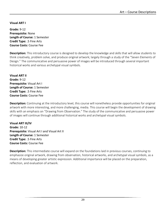#### <span id="page-28-0"></span>**Visual ART I**

**Grade:** 9-12 **Prerequisite:** None **Length of Course:** 1 Semester **Credit Type:** .5 Fine Arts **Course Costs:** Course Fee

**Description:** This introductory course is designed to develop the knowledge and skills that will allow students to think creatively, problem solve, and produce original artwork; largely through a study of the "Seven Elements of Design." The communicative and persuasive power of images will be introduced through several important historical works and various archetypal visual symbols.

**Visual ART II Grade:** 9-12 **Prerequisite:** Visual Art I **Length of Course:** 1 Semester **Credit Type:** .5 Fine Arts **Course Costs:** Course Fee

**Description:** Continuing at the introductory level, this course will nonetheless provide opportunities for original artwork with more interesting, and more challenging, media. This course will begin the development of drawing skills with an emphasis on "Drawing from Observation." The study of the communicative and persuasive power of images will continue through additional historical works and archetypal visual symbols.

**Visual ART III/IV Grade:** 10-12 **Prerequisite:** Visual Art I and Visual Art II **Length of Course:** 1 Semester **Credit Type:** .5 Fine Arts **Course Costs:** Course Fee

**Description:** This intermediate course will expand on the foundations laid in previous courses, continuing to emphasize original artwork, drawing from observation, historical artworks, and archetypal visual symbols, as a means of developing greater artistic expression. Additional importance will be placed on the preparation, reflection, and evaluation of artwork.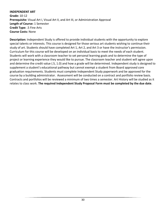#### **INDEPENDENT ART Grade:** 10-12 **Prerequisite:** Visual Art I, Visual Art II, and Art III, or Administration Approval **Length of Course:** 1 Semester **Credit Type:** .5 Fine Arts **Course Costs:** None

**Description:** Independent Study is offered to provide individual students with the opportunity to explore special talents or interests. This course is designed for those serious art students wishing to continue their study of art. Students should have completed Art 1, Art 2, and Art 3 or have the instructor's permission. Curriculum for this course will be developed on an individual basis to meet the needs of each student. Students will work with a classroom teacher to set personal learning goals and to determine the type of project or learning experience they would like to pursue. The classroom teacher and student will agree upon and determine the credit value (.5, 1.0) and how a grade will be determined. Independent study is designed to supplement a student's educational pathway but cannot exempt a student from Board approved core graduation requirements. Students must complete Independent Study paperwork and be approved for the course by a building administrator.Assessment will be conducted on a contract and portfolio review basis. Contracts and portfolios will be reviewed a minimum of two times a semester. Art History will be studied as it relates to class work. **The required Independent Study Proposal Form must be completed by the due date**.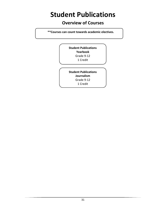# <span id="page-30-0"></span>**Student Publications**

### **Overview of Courses**

 **\*\*Courses can count towards academic electives.**

**Student Publications Yearbook** Grade 9-12 1 Credit

**Student Publications Journalism** Grade 9-12 1 Credit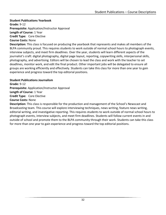#### <span id="page-31-0"></span>**Student Publications Yearbook**

**Grade:** 9-12 **Prerequisite:** Application/Instructor Approval **Length of Course:** 1 Year **Credit Type:** Core Elective **Course Costs:** None

**Description:** This class is focused on producing the yearbook that represents and makes all members of the BLPA community proud. This requires students to work outside of normal school hours to photograph events, interview subjects, and meet firm deadlines. Over the year, students will learn different aspects of the journalist's craft: digital photography, digital page layout, reporting, copywriting skills, interpersonal skills, photography, and advertising. Editors will be chosen to lead the class and work with the teacher to set deadlines, monitor work, and edit the final product. Other important jobs will be delegated to ensure all groups are working efficiently and effectively. Students can take this class for more than one year to gain experience and progress toward the top editorial positions.

#### **Student Publications Journalism**

**Grade:** 9-12 **Prerequisite:** Application/Instructor Approval **Length of Course:** 1 Year **Credit Type:** Core Elective **Course Costs:** None

**Description:** This class is responsible for the production and management of the School's Newscast and Broadcasting team. This course will explore interviewing techniques, news writing, feature news writing, editorial writing, and investigative reporting. This requires students to work outside of normal school hours to photograph events, interview subjects, and meet firm deadlines. Students will follow current events in and outside of school and promote them to the BLPA community through their work. Students can take this class for more than one year to gain experience and progress toward the top editorial positions.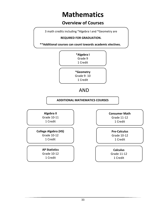# **Mathematics**

### **Overview of Courses**

3 math credits including \*Algebra I and \*Geometry are

#### **REQUIRED FOR GRADUATION.**

 **\*\*Additional courses can count towards academic electives.**

<span id="page-32-0"></span>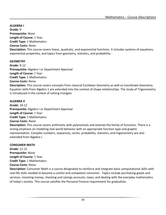<span id="page-33-0"></span>**ALGEBRA I Grade:** 9 **Prerequisite:** None **Length of Course:** 1 Year **Credit Type:** 1 Mathematics **Course Costs:** None **Description:** This course covers linear, quadratic, and exponential functions. It includes systems of equations, exponential properties, and topics from geometry, statistics, and probability.

#### **GEOMETRY**

**Grade:** 9-12 **Prerequisite:** Algebra I or Department Approval **Length of Course:** 1 Year **Credit Type:** 1 Mathematics **Course Costs:** None **Description:** This course covers concepts from classical Euclidean Geometry as well as Coordinate Geometry. Equation skills from Algebra 1 are extended into the context of shape relationships. The study of Trigonometry is introduced in the context of solving triangles.

#### **ALGEBRA II**

**Grade:** 10-12 **Prerequisite:** Algebra I or Department Approval **Length of Course:** 1 Year **Credit Type:** 1 Mathematics **Course Costs:** None **Description:** This course covers arithmetic with polynomials and extends the family of functions. There is a strong emphasis on modeling real-world behavior with an appropriate function type and graphic representation. Complex numbers, sequences, series, probability, statistics, and trigonometry are also

#### **CONSUMER MATH**

extended from Algebra I.

**Grade:** 11-12 **Prerequisite:** None **Length of Course:** 1 Year **Credit Type:** 1 Mathematics **Course Costs:** None

**Description:** Consumer Math is a course designated to reinforce and integrate basic computational skills with real-life skills needed to become a careful and competent consumer. Topics include purchasing goods and services, investing money, checking and savings accounts, taxes, and dealing with the everyday mathematics of today's society. This course satisfies the Personal Finance requirement for graduation.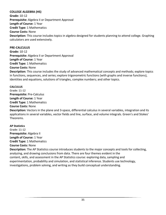#### **COLLEGE ALGEBRA (HS)**

**Grade:** 10-12 **Prerequisite:** Algebra II or Department Approval **Length of Course:** 1 Year **Credit Type:** 1 Mathematics **Course Costs:** None **Description:** This course includes topics in algebra designed for students planning to attend college. Graphing calculators are used extensively.

#### **PRE-CALCULUS**

**Grade:** 10-12 **Prerequisite:** Algebra II or Department Approval **Length of Course:** 1 Year **Credit Type:** 1 Mathematics **Course Costs:** None **Description:** This course includes the study of advanced mathematical concepts and methods; explore topics in functions, sequences, and series; explore trigonometric functions (with graphs and inverse functions), identities and equations, solutions of triangles, complex numbers; and other topics.

#### **CALCULUS**

Grade: 11-12 **Prerequisite:** Pre-Calculus **Length of Course:** 1 Year **Credit Type:** 1 Mathematics **Course Costs:** None

**Description:** Vectors in the plane and 3-space, differential calculus in several variables, integration and its applications in several variables, vector fields and line, surface, and volume integrals. Green's and Stokes' Theorems.

**AP Statistics** Grade: 11-12 **Prerequisite:** Algebra II **Length of Course:** 1 Year **Credit Type:** 1 Mathematics **Course Costs:** None

**Description:** The AP Statistics course introduces students to the major concepts and tools for collecting, analyzing, and drawing conclusions from data. There are four themes evident in the content, skills, and assessment in the AP Statistics course: exploring data, sampling and experimentation, probability and simulation, and statistical inference. Students use technology, investigations, problem solving, and writing as they build conceptual understanding.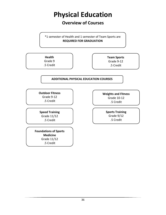# **Physical Education**

### **Overview of Courses**

<span id="page-35-0"></span>\*1 semester of Health and 1 semester of Team Sports are **REQUIRED FOR GRADUATION**

**Health** Grade 9 .5 Credit

**Team Sports** Grade 9-12 .5 Credit

#### **ADDITIONAL PHYSICAL EDUCATION COURSES**

**Outdoor Fitness**  Grade 9-12 .5 Credit

**Speed Training** Grade 11/12 .5 Credit

**Foundations of Sports Medicine** Grade 11/12 .5 Credit

.5 Credit

**Weights and Fitness**  Grade 10-12 .5 Credit

> **Sports Training** Grade 9/12 .5 Credit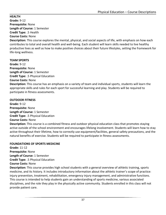#### <span id="page-36-0"></span>**HEALTH**

**Grade:** 9-12 **Prerequisite:** None **Length of Course:** 1 Semester **Credit Type:** .5 Health

#### **Course Costs:** None

**Description:** This course explores the mental, physical, and social aspects of life, with emphasis on how each contributes to total and overall health and well-being. Each student will learn skills needed to live healthy productive lives as well as how to make positive choices about their future lifestyles, setting the framework for life-long wellness.

#### **TEAM SPORTS**

**Grade:** 9-12 **Prerequisite:** None **Length of Course:** 1 Semester **Credit Type:** .5 Physical Education

#### **Course Costs:** None

**Description:** This course has an emphasis on a variety of team and individual sports, students will learn the appropriate skills and rules for each sport for successful learning and play. Students will be required to participate in fitness assessments.

#### **OUTDOOR FITNESS**

**Grade:** 9-12 **Prerequisite:** None **Length of Course:** 1 Semester **Credit Type:** .5 Physical Education **Course Costs:** None

**Description:** This course is a combined fitness and outdoor physical education class that promotes staying active outside of the school environment and encourages lifelong involvement. Students will learn how to stay active throughout their lifetime, how to correctly use equipment/facilities, general safety precautions, and the natural benefits of exercise. Students will be required to participate in fitness assessments.

#### **FOUNDATIONS OF SPORTS MEDICINE**

**Grade:** 11-12 **Prerequisite:** None **Length of Course:** 1 Semester **Credit Type:** .5 Physical Education **Course Costs:** None

**Description:** This course provides high school students with a general overview of athletic training, sports medicine, and its history. It includes introductory information about the athletic trainer's scope of practice: injury prevention, treatment, rehabilitation, emergency injury management, and administrative functions. This course is intended to help students gain an understanding of sports medicine, various associated disciplines, and the role they play in the physically active community. Students enrolled in this class will not provide patient care.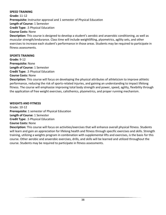#### **SPEED TRAINING**

**Grade:** 11-12 **Prerequisite:** Instructor approval and 1 semester of Physical Education **Length of Course:** 1 Semester **Credit Type:** .5 Physical Education **Course Costs:** None **Description:** This course is designed to develop a student's aerobic and anaerobic conditioning, as well as muscular strength/endurance. Class time will include weightlifting, plyometrics, agility sets, and other

exercises to increase each student's performance in those areas. Students may be required to participate in fitness assessments.

#### **SPORTS TRAINING**

**Grade:** 9-12 **Prerequisite:** None **Length of Course:** 1 Semester **Credit Type:** .5 Physical Education

#### **Course Costs:** None

**Description:** This course will focus on developing the physical attributes of athleticism to improve athletic performance, reducing the risk of sports-related injuries, and gaining an understanding to impact lifelong fitness. The course will emphasize improving total body strength and power, speed, agility, flexibility through the application of free weight exercises, calisthenics, plyometrics, and proper running mechanism.

#### **WEIGHTS AND FITNESS**

Grade: 10-12 **Prerequisite:** 1 semester of Physical Education **Length of Course:** 1 Semester **Credit Type:** .5 Physical Education **Course Costs:** None

**Description:** This course will focus on activities/exercises that will enhance overall physical fitness. Students will learn and gain an appreciation for lifelong health and fitness through specific exercises and skills. Strength training, utilizing a weights program in combination with supplemental lifts and exercises, is the basis for this course. Other aerobic and anaerobic exercises, drills, and skills will be learned and utilized throughout the course. Students may be required to participate in fitness assessments.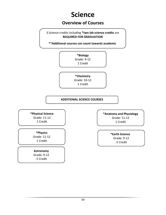# **Science**

### **Overview of Courses**

<span id="page-38-0"></span>3 Science credits including **\*two lab science credits** are **REQUIRED FOR GRADUATION**

 **\*\*Additional courses can count towards academic** 



**\*Chemistry** Grade: 10-12 1 Credit

#### **ADDITIONAL SCIENCE COURSES**

**\*Physical Science** Grade: 11-12 1 Credit

**electives.**

**\*Anatomy and Physiology** Grade: 11-12 1 Credit

**\*Physics** Grade: 11-12 1 Credit

**Astronomy** Grade: 9-12 .5 Credit

**\*Earth Science** Grade: 9-12 .5 Credit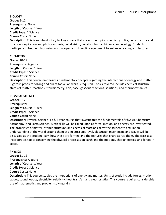#### <span id="page-39-0"></span>**BIOLOGY**

**Grade:** 9-12 **Prerequisite:** None

#### **Length of Course:** 1 Year

#### **Credit Type:** 1 Science **Course Costs:** None

**Description:** This is an introductory biology course that covers the topics: chemistry of life, cell structure and function, respiration and photosynthesis, cell division, genetics, human biology, and ecology. Students participate in frequent labs using microscopes and dissecting equipment to enhance reading and lectures.

#### **CHEMISTRY**

**Grade:** 10-12 **Prerequisite:** Algebra I **Length of Course:** 1 Year **Credit Type:** 1 Science **Course Costs:** None

**Description:** This course emphasizes fundamental concepts regarding the interactions of energy and matter. Rigorous problem solving and quantitative lab work is required. Topics covered include chemical structure, states of matter, reactions, stoichiometry, acid/base, gaseous reactions, solutions, and thermodynamics.

#### **PHYSICAL SCIENCE**

**Grade:** 9-12 **Prerequisite: Length of Course:** 1 Year **Credit Type:** 1 Science **Course Costs:** None

**Description:** Physical Science is a full-year course that investigates the fundamentals of Physics, Chemistry, Astronomy, and Earth Science. Math skills will be called upon as force, motion, and energy are investigated. The properties of matter, atomic structure, and chemical reactions allow the student to acquire an understanding of the world around them at a microscopic level. Electricity, magnetism, and waves will be discussed as the student learn how these are formed and the features that characterize them. The class also incorporates topics concerning the physical processes on earth and the motions, characteristics, and forces in space.

#### **PHYSICS**

**Grade:** 11-12 **Prerequisite:** Algebra II **Length of Course:** 1 Year **Credit Type:** 1 Science **Course Costs:** None

**Description:** This course studies the interactions of energy and matter. Units of study include forces, motion, waves, sound, optics, electricity, relativity, heat transfer, and electrostatics. This course requires considerable use of mathematics and problem-solving skills.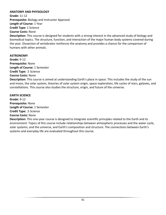#### **ANATOMY AND PHYSIOLOGY**

**Grade:** 11-12 **Prerequisite:** Biology and Instructor Approval **Length of Course:** 1 Year **Credit Type:** 1 Science **Course Costs:** None

**Description:** This course is designed for students with a strong interest in the advanced study of biology and biomedical topics. The structure, function, and interaction of the major human body systems covered during the year. Dissection of vertebrates reinforces the anatomy and provides a chance for the comparison of humans with other animals.

#### **ASTRONOMY**

**Grade:** 9-12 **Prerequisite:** None **Length of Course:** 1 Semester **Credit Type:** .5 Science **Course Costs:** None **Description:** This course is aimed at understanding Earth's place in space. This includes the study of the sun and moon, the solar system, theories of solar system origin, space exploration, life cycles of stars, galaxies, and constellations. This course also studies the structure, origin, and future of the universe.

#### **EARTH SCIENCE**

**Grade:** 9-12 **Prerequisite:** None **Length of Course:** 1 Semester **Credit Type:** .5 Science **Course Costs:** None

**Description:** This one-year course is designed to integrate scientific principles related to the Earth and its environment. Topics of this course include relationships between atmospheric processes and the water cycle, solar systems, and the universe, and Earth's composition and structure. The connections between Earth's systems and everyday life are evaluated throughout this course.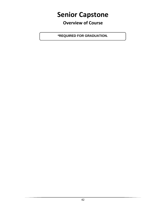# <span id="page-41-0"></span>**Senior Capstone**

**Overview of Course**

**\*REQUIRED FOR GRADUATION.**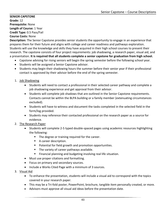#### <span id="page-42-0"></span>**SENIOR CAPSTONE Grade:** 12 **Prerequisite:** None **Length of Course:** 1 Year **Credit Type:** 0.5 Pass/Fail **Course Costs:** None

**Description:** The Senior Capstone provides senior students the opportunity to engage in an experience that prepares them for their future and aligns with college and career readiness and pathways exploration. Students will use the knowledge and skills they have acquired in their high school courses to present their research. The capstone consists of four project requirements: job shadowing, a research paper, visual aid, and a presentation. **It is required that all students complete a senior capstone for graduation from high school.**

- Capstone advising for rising seniors will begin the spring semester before the following school year.
- Students will be assigned a Senior Capstone advisor.
- Students may begin their shadowing hours the summer before their senior year if their professional contact is approved by their advisor before the end of the spring semester.
- 1. Job Shadowing
	- Students will need to contact a professional in their selected career pathway and complete a job shadowing experience and get approval from their advisor.
	- Students will complete job shadows that are outlined in the Senior Capstone requirements. Contacts cannot be within the BLPA building or a family member (extenuating circumstances excluded).
	- Students will have to witness and document the tasks completed in the selected field in the form/log provided.
	- Students may reference their contacted professional on the research paper as a source for evidence.
- 2. The Research Paper
	- Students will complete 2-5 typed double-spaced pages using academic resources highlighting the following:
		- The degree or training required for the career.
		- A career description.
		- Potential for field growth and promotion opportunities.
		- The variety of career pathways available.
		- Financial planning and budgeting involving real life situation.
	- Must use proper citations and formatting.
	- Focus on primary and secondary sources.
	- Include a Works Cited Page with a minimum of 3 sources.
- 3. Visual Aid
	- To enhance the presentation, students will include a visual aid to correspond with the topics covered in your research paper.
	- This may be a Tri-fold poster, PowerPoint, brochure, tangible item personally created, or more.
	- Advisors must approve all visual aid ideas before the presentation date.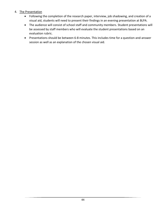#### 4. The Presentation

- Following the completion of the research paper, interview, job shadowing, and creation of a visual aid, students will need to present their findings in an evening presentation at BLPA.
- The audience will consist of school staff and community members. Student presentations will be assessed by staff members who will evaluate the student presentations based on an evaluation rubric.
- Presentations should be between 6-8 minutes. This includes time for a question-and-answer session as well as an explanation of the chosen visual aid.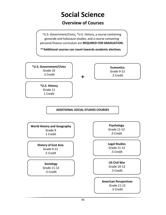# **Social Science**

### **Overview of Courses**

<span id="page-44-0"></span>\*U.S. Government/Civics, \*U.S. History, a course containing genocide and holocaust studies, and a course containing personal finance curriculum are **REQUIRED FOR GRADUATION.**

**\*\*Additional courses can count towards academic electives.**

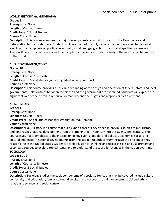#### <span id="page-45-0"></span>**WORLD HISTORY and GEOGRAPHY**

**Grade:** 9 **Prerequisite:** None **Length of Course:** 1 Year **Credit Type:** 1 Social Studies

#### **Course Costs:** None

**Description:** This course examines the major developments of world history from the Renaissance and Reformation to the modern era. Students will be expected to apply cause and effect reasoning to historical events with an emphasis on political, economic, social, and geographic forces that shape the modern world. There will be a focus on diversity and the complexity of events as students analyze the interconnected nature of the world.

#### **\*U.S. GOVERNMENT/CIVICS**

**Grade:** 10 **Prerequisite:** None **Length of Course:** 1 Semester **Credit Type:** .5 Social Studies (satisfies graduation requirement) **Course Costs:** None **Description:** This course provides a basic understanding of the design and operation of federal, state, and local governments. Relationships between the citizen and the government are examined. Students will explore the significant role of the citizen in American democracy and their rights and responsibilities as citizens.

**\*U.S. HISTORY Grade:** 11 **Prerequisite:** None. **Length of Course:** 1 Year **Credit Type:** 1 Social Studies (satisfies graduation requirement) **Course Costs:** None **Description:** U.S. History is a course that builds upon concepts developed in previous studies of U.S. History and emphasizes national development from the late nineteenth century into the twenty-first century. The course gives major emphasis to the interaction of key events, people, and political, economic, social, and cultural influences in national developments from the late nineteenth century through the present as they relate to life in the United States. Students develop historical thinking and research skills and use primary and secondary sources to explore topical issues and to understand the cause for changes in the nation over time. **SOCIOLOGY Grade:** 11-12 **Prerequisite:** None **Length of Course:** 1 Semester

**Credit Type:** .5 Social Studies

#### **Course Costs:** None

**Description:** Sociology studies the basic components of a society. Topics that may be covered include culture, conformity and adaptation, family, cultural diversity and awareness, social movements, racial and ethnic relations, deviance, and social control.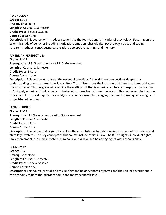#### **PSYCHOLOGY**

**Grade:** 11-12 **Prerequisite:** None **Length of Course:** 1 Semester **Credit Type:** .5 Social Studies **Course Costs:** None

**Description:** This course will introduce students to the foundational principles of psychology. Focusing on the scientific study of behavior including motivation, emotion, physiological psychology, stress and coping, research methods, consciousness, sensation, perception, learning, and memory.

#### **AMERICAN PERSPECTIVES**

**Grade:** 11-12 **Prerequisite:** U.S. Government or AP U.S. Government **Length of Course:** 1 Semester **Credit Type:** .5 Core **Course Costs:** None **Description:** This course will answer the essential questions: "How do new perspectives deepen my

understanding of what makes American culture?" and "How does the inclusion of different cultures add value to our society?" This program will examine the melting pot that is American culture and explore how nothing is "uniquely American," but rather an infusion of cultures from all over the world. This course emphasizes the processes of historical inquiry, data analysis, academic research strategies, document-based questioning, and project-based learning.

#### **LEGAL STUDIES**

**Grade:** 11-12 **Prerequisite:** U.S Government or AP U.S. Government **Length of Course:** 1 Semester **Credit Type:** .5 Core **Course Costs:** None **Description:** This course is designed to explore the constitutional foundation and structure of the federal and state legal systems. The key concepts of this course include ethics in law, The Bill of Rights, individual rights,

#### **ECONOMICS**

**Grade:** 9-12 **Prerequisite:** None **Length of Course:** 1 Semester **Credit Type:** .5 Social Studies **Course Costs:** None **Description:** This course provides a basic understanding of economic systems and the role of government in the economy at both the microeconomic and macroeconomic level.

law enforcement, the judicial system, criminal law, civil law, and balancing rights with responsibility.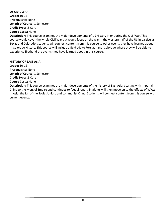#### **US CIVIL WAR**

**Grade:** 10-12 **Prerequisite:** None **Length of Course:** 1 Semester **Credit Type:** .5 Core **Course Costs:** None

**Description:** This course examines the major developments of US History in or during the Civil War. This course would cover the whole Civil War but would focus on the war in the western half of the US in particular Texas and Colorado. Students will connect content from this course to other events they have learned about in Colorado History. This course will include a field trip to Fort Garland, Colorado where they will be able to experience firsthand the events they have learned about in this course.

#### **HISTORY OF EAST ASIA**

**Grade:** 10-12 **Prerequisite:** None **Length of Course:** 1 Semester **Credit Type:** .5 Core **Course Costs:** None

**Description:** This course examines the major developments of the history of East Asia. Starting with imperial China to the Mongol Empire and continues to feudal Japan. Students will then move on to the effects of WW2 in Asia, the fall of the Soviet Union, and communist China. Students will connect content from this course with current events.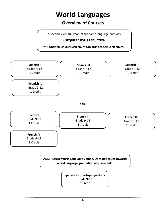# **World Languages**

### **Overview of Courses**

<span id="page-48-0"></span>A second level, full year, of the same language pathway

is **REQUIRED FOR GRADUATION**.

 **\*\*Additional courses can count towards academic electives.**



.5 Credit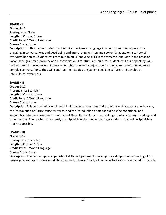<span id="page-49-0"></span>**SPANISH I Grade:** 9-12 **Prerequisite:** None **Length of Course:** 1 Year **Credit Type:** 1 World Language **Course Costs:** None

**Description:** In this course students will acquire the Spanish language in a holistic learning approach by engaging in conversations and developing and interpreting written and spoken language on a variety of everyday life topics. Students will continue to build language skills in the targeted language in the areas of vocabulary, grammar, pronunciation, conversation, literature, and culture. Students will build speaking skills and grammar knowledge with increasing emphasis on verb conjugation, reading comprehension and more complex conversations. They will continue their studies of Spanish-speaking cultures and develop an intercultural awareness.

#### **SPANISH II**

**Grade:** 9-12 **Prerequisite:** Spanish I **Length of Course:** 1 Year **Credit Type:** 1 World Language

#### **Course Costs:** None

**Description:** This course builds on Spanish I with richer expressions and exploration of past-tense verb usage, the introduction of future tense for verbs, and the introduction of moods such as the conditional and subjunctive. Students continue to learn about the cultures of Spanish-speaking countries through readings and other lessons. The teacher consistently uses Spanish in class and encourages students to speak in Spanish as much as possible.

#### **SPANISH III**

**Grade:** 9-12 **Prerequisite:** Spanish II **Length of Course:** 1 Year **Credit Type:** 1 World Language **Course Costs:** None **Description:** This course applies Spanish I-II skills and grammar knowledge for a deeper understanding of the language as well as the associated literature and cultures. Nearly all course activities are conducted in Spanish.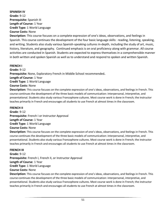#### **SPANISH IV**

**Grade:** 9-12 **Prerequisite:** Spanish III **Length of Course:** 1 Year **Credit Type:** 1 World Language **Course Costs:** None

**Description:** This course focuses on a complete expression of one's ideas, observations, and feelings in Spanish. This course continues the development of the four basic language skills: reading, listening, speaking, and writing. Students also study various Spanish-speaking cultures in-depth, including the study of art, music, history, literature, and geography. Continued emphasis is on oral proficiency along with grammar. All course activities are conducted in Spanish. Students are expected to express themselves in a comprehensible manner in both written and spoken Spanish as well as to understand and respond to spoken and written Spanish.

#### **FRENCH I**

**Grade:** 9-12 **Prerequisite:** None, Exploratory French in Middle School recommended**. Length of Course:** 1 Year **Credit Type:** 1 World Language **Course Costs:** None

**Description:** This course focuses on the complete expression of one's ideas, observations, and feelings in French. This course continues the development of the three basic models of communication: interpersonal, interpretive, and presentational. Students also study various Francophone cultures. Most course work is done in French; the instructor teaches primarily in French and encourages all students to use French at almost times in the classroom.

#### **FRENCH II**

**Grade**: 9-12 **Prerequisite:** French I or Instructor Approval **Length of Course:** 1 Year **Credit Type:** 1 World Language **Course Costs:** None

**Description:** This course focuses on the complete expression of one's ideas, observations, and feelings in French. This course continues the development of the three basic models of communication: interpersonal, interpretive, and presentational. Students also study various Francophone cultures. Most course work is done in French; the instructor teaches primarily in French and encourages all students to use French at almost times in the classroom.

#### **FRENCH III**

**Grade:** 9-12 **Prerequisite:** French I, French II, or Instructor Approval **Length of Course**: 1 Year **Credit Type:** 1 World Language **Course Costs:** None

**Description:** This course focuses on the complete expression of one's ideas, observations, and feelings in French. This course continues the development of the three basic models of communication: interpersonal, interpretive, and presentational. Students also study various Francophone cultures. Most course work is done in French; the instructor teaches primarily in French and encourages all students to use French at almost times in the classroom.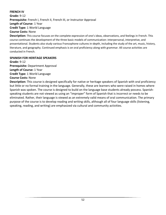#### **FRENCH IV**

**Grade:** 9-12 **Prerequisite:** French I, French II, French III, or Instructor Approval **Length of Course**: 1 Year **Credit Type:** 1 World Language **Course Costs:** None

**Description:** This course focuses on the complete expression of one's ideas, observations, and feelings in French. This course continues the development of the three basic models of communication: interpersonal, interpretive, and presentational. Students also study various Francophone cultures in-depth, including the study of the art, music, history, literature, and geography. Continued emphasis is on oral proficiency along with grammar. All course activities are conducted in French.

#### **SPANISH FOR HERITAGE SPEAKERS**

**Grade:** 9-12 **Prerequisite:** Department Approval **Length of Course:** 1 Year **Credit Type:** 1 World Language **Course Costs:** None

**Description:** This course is designed specifically for native or heritage speakers of Spanish with oral proficiency but little or no formal training in the language. Generally, these are learners who were raised in homes where Spanish was spoken. The course is designed to build on the language base students already possess. Spanishspeaking students are not viewed as using an "improper" form of Spanish that is incorrect or needs to be eliminated. Rather, their language is viewed as an extremely valid means of oral communication. The primary purpose of the course is to develop reading and writing skills, although all of four language skills (listening, speaking, reading, and writing) are emphasized via cultural and community activities.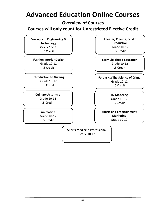# <span id="page-52-0"></span>**Advanced Education Online Courses**

**Overview of Courses**

**Courses will only count for Unrestricted Elective Credit**

**Concepts of Engineering & Technology** Grade 10-12 .5 Credit

**Fashion Interior Design** Grade 10-12 .5 Credit

**Introduction to Nursing** Grade 10-12 .5 Credit

**Culinary Arts Intro** Grade 10-12 .5 Credit

> **Animation** Grade 10-12 .5 Credit

**Theater, Cinema, & Film Production** Grade 10-12 .5 Credit

**Early Childhood Education** Grade 10-12 .5 Credit

**Forensics: The Science of Crime** Grade 10-12 .5 Credit

> **3D Modeling** Grade 10-12 .5 Credit

**Sports and Entertainment Marketing** Grade 10-12

 $\overline{\phantom{a}}$ 

**Sports Medicine Professional** Grade 10-12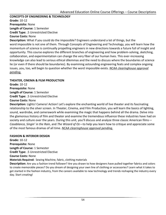#### <span id="page-53-0"></span>**CONCEPTS OF ENGINEERING & TECHNOLOGY**

**Grade:** 10-12 **Prerequisite:** None **Length of Course:** 1 Semester **Credit Type:** .5 Unrestricted Elective

#### **Course Costs:** None

**Description:** What if you could do the impossible? Engineers understand a lot of things, but the word impossible is not one of them. Through Concepts of Engineering and Technology, you will learn how the momentum of science is continually propelling engineers in new directions towards a future full of insight and opportunity. This course explores the different branches of engineering and how problem-solving, sketching, collaboration, and experimentation can change the very fiber of our human lives. This ever-increasing knowledge can also lead to serious ethical dilemmas and the need to discuss where the boundaries of science lie (or even if there should be boundaries). By examining astounding engineering feats and complex ongoing issues, you, too, will begin to question whether the word impossible exists. *NCAA clearinghouse approval pending.*

#### **THEATER, CINEMA & FILM PRODUCTION**

**Grade:** 10-12 **Prerequisite:** None **Length of Course:** 1 Semester **Credit Type:** .5 Unrestricted Elective

#### **Course Costs:** None

**Description:** Lights! Camera! Action! Let's explore the enchanting world of live theater and its fascinating relationship to the silver screen. In Theater, Cinema, and Film Production, you will learn the basics of lighting, sound, wardrobe, and camerawork while examining the magic that happens behind all the drama. Delve into the glamorous history of film and theater and examine the tremendous influence these industries have had on society and culture over the years. During this unit, you'll discuss and analyze three classic American films— *Casablanca*, *Singin' in the Rain*, and *The Wizard of Oz*—to help you learn how to critique and appreciate some of the most famous dramas of all time. *NCAA clearinghouse approval pending.*

#### **FASHION & INTERIOR DESIGN**

**Grade:** 10-12 **Prerequisite:** None **Length of Course:** 1 Semester **Credit Type:** .5 Unrestricted Elective **Course Costs:** None **Materials Required:** Sewing Machine, fabric, clothing materials **Description:** Are you a fashion trend follower? Are you drawn to how designers have pulled together fabrics and colors

to create memorable pieces? Do you dream of designing your own line of clothing or accessories? Learn what it takes to get started in the fashion industry, from the careers available to new technology and trends reshaping the industry every day. Start creating!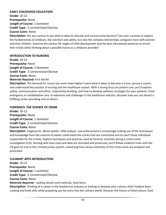#### **EARLY CHILDHOOD EDUCATION**

**Grade:** 10-12 **Prerequisite:** None **Length of Course:** 1 Semester **Credit Type:** .5 Unrestricted Elective **Course Costs:** None

**Description:** Are you curious to see what it takes to educate and nurture early learners? Use your curiosity to explore the fundamentals of childcare, like nutrition and safety, but also the complex relationships caregivers have with parents and their children. Examine the various life stages of child development and the best educational practices to enrich their minds while thinking about a possible future as a childcare provider!

#### **INTRODUCTION TO NURSING**

**Grade:** 10-12 **Prerequisite:** None **Length of Course:** 1 Semester **Credit Type:** .5 Unrestricted Elective **Course Costs:** None

**Materials Required:** First Aid Kit

**Description:** The demand for nurses has never been higher! Learn what it takes to become a nurse, pursue a career, and understand the practice of nursing and the healthcare system. With a strong focus on patient care, you'll explore safety, communication and ethics, relationship building, and how to develop wellness strategies for your patients. From emergency to rehabilitative care, to advances and challenges in the healthcare industry, discover how you can launch a fulfilling career providing care to others.

#### **FORENSICS: THE SCIENCE OF CRIME**

**Grade:** 10-12 **Prerequisite:** None **Length of Course:** 1 semester **Credit Type:** .5 Unrestricted Elective **Course Costs:** None

**Description:** Fingerprints. Blood spatter. DNA analysis. Law enforcement is increasingly making use of the techniques and knowledge from the sciences to better understand the crimes that are committed and to catch those individuals responsible for the crimes. Explore techniques and practices used by forensic scientists during a crime scene investigation (CSI). Starting with how clues and data are recorded and preserved, you'll follow evidence trails until the CSI goes to trial in the criminal justice system, examining how various elements of the crime scene are analyzed and processed.

#### **CULINARY ARTS INTRODUCTION**

**Grade:** 10-12 **Prerequisite:** None **Length of Course:** 1 semester **Credit Type:** .5 Unrestricted Elective **Course Costs:** None **Materials Required:** cooking vessels and materials, food items **Description:** Thinking of a career in the foodservice industry or looking to develop your culinary skills? Explore basic cooking and knife skills while preparing you for entry into the culinary world. Discover the history of food culture, food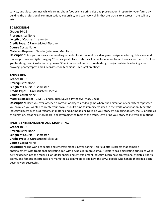service, and global cuisines while learning about food science principles and preservation. Prepare for your future by building the professional, communication, leadership, and teamwork skills that are crucial to a career in the culinary arts.

#### **3D MODELING**

**Grade:** 10-12 **Prerequisite:** None **Length of Course:** 1 semester **Credit Type:** .5 Unrestricted Elective **Course Costs:** None **Materials Required**: Blender (Windows, Mac, Linux)

**Description:** Are you curious about working in fields like virtual reality, video game design, marketing, television and motion pictures, or digital imaging? This is a great place to start as it is the foundation for all these career paths. Explore graphic design and illustration as you use 3D animation software to create design projects while developing your drawing, photography, and 3D construction techniques. Let's get creating!

#### **ANIMATION**

**Grade:** 10-12 **Prerequisite:** None **Length of Course:** 1 semester **Credit Type:** .5 Unrestricted Elective **Course Costs:** None **Materials Required:** GIMP, Blender, Tupi, DaVinci (Windows, Mac, Linux) **Description:** Have you ever watched a cartoon or played a video game where the animation of characters captivated you so much you wanted to create your own? If so, it's time to immerse yourself in the world of animation. Meet the industry players such as directors, animators, and 3D modelers. Develop your story by exploring design, the 12 principles of animation, creating a storyboard, and leveraging the tools of the trade. Let's bring your story to life with animation!

#### **SPORTS ENTERTAINMENT AND MARKETING**

**Grade:** 10-12 **Prerequisite:** None **Length of Course:** 1 semester **Credit Type:** .5 Unrestricted Elective **Course Costs:** None

**Description:** The world of sports and entertainment is never boring. This field offers careers that combine entertainment with traditional marketing, but with a whole lot more glamour. Explore basic marketing principles while delving deeper into the multi-billion-dollar sports and entertainment industry. Learn how professional athletes, sports teams, and famous entertainers are marketed as commodities and how the savvy people who handle these deals can become very successful.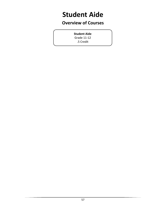# <span id="page-56-0"></span>**Student Aide**

### **Overview of Courses**

**Student Aide** Grade 11-12 .5 Credit